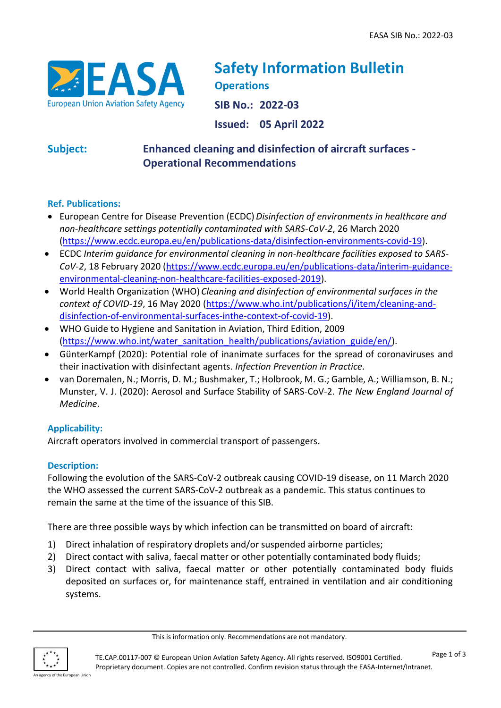

# **Safety Information Bulletin Operations**

**SIB No.: 2022-03**

**Issued: 05 April 2022**

## **Subject: Enhanced cleaning and disinfection of aircraft surfaces - Operational Recommendations**

#### **Ref. Publications:**

- European Centre for Disease Prevention (ECDC)*Disinfection of environments in healthcare and non-healthcare settings potentially contaminated with SARS-CoV-2*, 26 March 2020 [\(https://www.ecdc.europa.eu/en/publications-data/disinfection-environments-covid-19\)](https://www.ecdc.europa.eu/en/publications-data/disinfection-environments-covid-19).
- ECDC *Interim guidance for environmental cleaning in non-healthcare facilities exposed to SARS-CoV-2*, 18 February 2020 [\(https://www.ecdc.europa.eu/en/publications-data/interim-guidance](https://www.ecdc.europa.eu/en/publications-data/interim-guidance-environmental-cleaning-non-healthcare-facilities-exposed-2019)[environmental-cleaning-non-healthcare-facilities-exposed-2019\)](https://www.ecdc.europa.eu/en/publications-data/interim-guidance-environmental-cleaning-non-healthcare-facilities-exposed-2019).
- World Health Organization (WHO) *Cleaning and disinfection of environmental surfaces in the context of COVID-19*, 16 May 2020 [\(https://www.who.int/publications/i/item/cleaning-and](https://www.who.int/publications/i/item/cleaning-and-disinfection-of-environmental-surfaces-inthe-context-of-covid-19)[disinfection-of-environmental-surfaces-inthe-context-of-covid-19\)](https://www.who.int/publications/i/item/cleaning-and-disinfection-of-environmental-surfaces-inthe-context-of-covid-19).
- WHO Guide to Hygiene and Sanitation in Aviation, Third Edition, 2009 [\(https://www.who.int/water\\_sanitation\\_health/publications/aviation\\_guide/en/\)](https://www.who.int/water_sanitation_health/publications/aviation_guide/en/).
- GünterKampf (2020): Potential role of inanimate surfaces for the spread of coronaviruses and their inactivation with disinfectant agents. *Infection Prevention in Practice*.
- van Doremalen, N.; Morris, D. M.; Bushmaker, T.; Holbrook, M. G.; Gamble, A.; Williamson, B. N.; Munster, V. J. (2020): Aerosol and Surface Stability of SARS-CoV-2. *The New England Journal of Medicine*.

## **Applicability:**

Aircraft operators involved in commercial transport of passengers.

## **Description:**

Following the evolution of the SARS-CoV-2 outbreak causing COVID-19 disease, on 11 March 2020 the WHO assessed the current SARS-CoV-2 outbreak as a pandemic. This status continues to remain the same at the time of the issuance of this SIB.

There are three possible ways by which infection can be transmitted on board of aircraft:

- 1) Direct inhalation of respiratory droplets and/or suspended airborne particles;
- 2) Direct contact with saliva, faecal matter or other potentially contaminated body fluids;
- 3) Direct contact with saliva, faecal matter or other potentially contaminated body fluids deposited on surfaces or, for maintenance staff, entrained in ventilation and air conditioning systems.

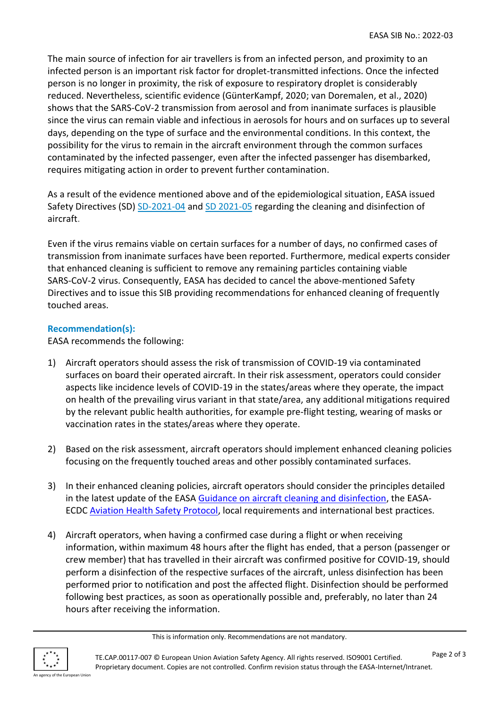The main source of infection for air travellers is from an infected person, and proximity to an infected person is an important risk factor for droplet-transmitted infections. Once the infected person is no longer in proximity, the risk of exposure to respiratory droplet is considerably reduced. Nevertheless, scientific evidence (GünterKampf, 2020; van Doremalen, et al., 2020) shows that the SARS-CoV-2 transmission from aerosol and from inanimate surfaces is plausible since the virus can remain viable and infectious in aerosols for hours and on surfaces up to several days, depending on the type of surface and the environmental conditions. In this context, the possibility for the virus to remain in the aircraft environment through the common surfaces contaminated by the infected passenger, even after the infected passenger has disembarked, requires mitigating action in order to prevent further contamination.

As a result of the evidence mentioned above and of the epidemiological situation, EASA issued Safety Directives (SD) [SD-2021-04](https://ad.easa.europa.eu/ad/SD-2021-04-CN) and [SD 2021-05](https://ad.easa.europa.eu/ad/SD-2021-05-CN) regarding the cleaning and disinfection of aircraft.

Even if the virus remains viable on certain surfaces for a number of days, no confirmed cases of transmission from inanimate surfaces have been reported. Furthermore, medical experts consider that enhanced cleaning is sufficient to remove any remaining particles containing viable SARS-CoV-2 virus. Consequently, EASA has decided to cancel the above-mentioned Safety Directives and to issue this SIB providing recommendations for enhanced cleaning of frequently touched areas.

#### **Recommendation(s):**

EASA recommends the following:

- 1) Aircraft operators should assess the risk of transmission of COVID-19 via contaminated surfaces on board their operated aircraft. In their risk assessment, operators could consider aspects like incidence levels of COVID-19 in the states/areas where they operate, the impact on health of the prevailing virus variant in that state/area, any additional mitigations required by the relevant public health authorities, for example pre-flight testing, wearing of masks or vaccination rates in the states/areas where they operate.
- 2) Based on the risk assessment, aircraft operators should implement enhanced cleaning policies focusing on the frequently touched areas and other possibly contaminated surfaces.
- 3) In their enhanced cleaning policies, aircraft operators should consider the principles detailed in the latest update of the EASA [Guidance on aircraft cleaning and disinfection,](https://www.easa.europa.eu/document-library/general-publications/guidance-aircraft-cleaning-and-disinfection) the EASA-ECD[C Aviation Health Safety Protocol,](https://www.easa.europa.eu/document-library/general-publications/covid-19-aviation-health-safety-protocol) local requirements and international best practices.
- 4) Aircraft operators, when having a confirmed case during a flight or when receiving information, within maximum 48 hours after the flight has ended, that a person (passenger or crew member) that has travelled in their aircraft was confirmed positive for COVID-19, should perform a disinfection of the respective surfaces of the aircraft, unless disinfection has been performed prior to notification and post the affected flight. Disinfection should be performed following best practices, as soon as operationally possible and, preferably, no later than 24 hours after receiving the information.